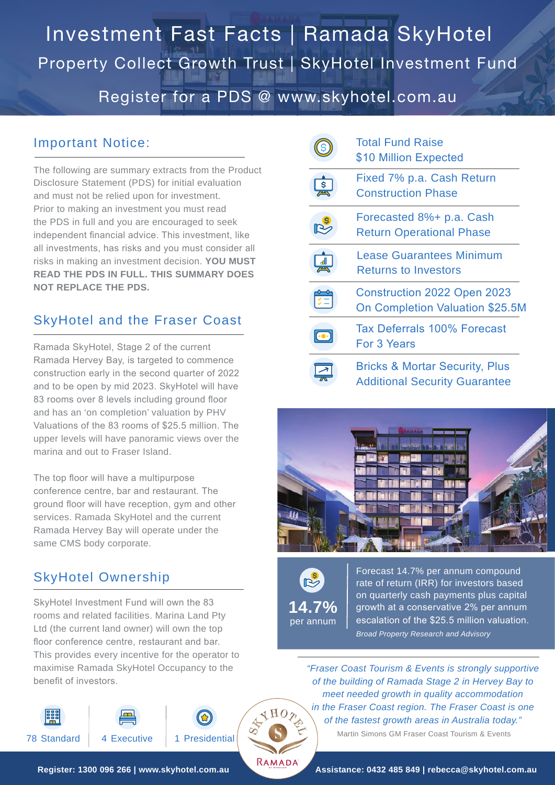## Investment Fast Facts | Ramada SkyHotel Register for a PDS @ www.skyhotel.com.au Property Collect Growth Trust | SkyHotel Investment Fund

### Important Notice:

The following are summary extracts from the Product Disclosure Statement (PDS) for initial evaluation and must not be relied upon for investment. Prior to making an investment you must read the PDS in full and you are encouraged to seek independent financial advice. This investment, like all investments, has risks and you must consider all risks in making an investment decision. **YOU MUST READ THE PDS IN FULL. THIS SUMMARY DOES NOT REPLACE THE PDS.**

### SkyHotel and the Fraser Coast

Ramada SkyHotel, Stage 2 of the current Ramada Hervey Bay, is targeted to commence construction early in the second quarter of 2022 and to be open by mid 2023. SkyHotel will have 83 rooms over 8 levels including ground floor and has an 'on completion' valuation by PHV Valuations of the 83 rooms of \$25.5 million. The upper levels will have panoramic views over the marina and out to Fraser Island.

The top floor will have a multipurpose conference centre, bar and restaurant. The ground floor will have reception, gym and other services. Ramada SkyHotel and the current Ramada Hervey Bay will operate under the same CMS body corporate.

## SkyHotel Ownership

SkyHotel Investment Fund will own the 83 rooms and related facilities. Marina Land Pty Ltd (the current land owner) will own the top floor conference centre, restaurant and bar. This provides every incentive for the operator to maximise Ramada SkyHotel Occupancy to the benefit of investors.



| <b>Total Fund Raise</b><br>\$10 Million Expected                                  |
|-----------------------------------------------------------------------------------|
| Fixed 7% p.a. Cash Return<br><b>Construction Phase</b>                            |
| Forecasted 8%+ p.a. Cash<br><b>Return Operational Phase</b>                       |
| <b>Lease Guarantees Minimum</b><br>Returns to Investors                           |
| <b>Construction 2022 Open 2023</b><br>On Completion Valuation \$25.5M             |
| Tax Deferrals 100% Forecast<br>For 3 Years                                        |
| <b>Bricks &amp; Mortar Security, Plus</b><br><b>Additional Security Guarantee</b> |





RAMADA

Forecast 14.7% per annum compound rate of return (IRR) for investors based on quarterly cash payments plus capital growth at a conservative 2% per annum escalation of the \$25.5 million valuation. *Broad Property Research and Advisory*

*"Fraser Coast Tourism & Events is strongly supportive of the building of Ramada Stage 2 in Hervey Bay to meet needed growth in quality accommodation in the Fraser Coast region. The Fraser Coast is one of the fastest growth areas in Australia today."*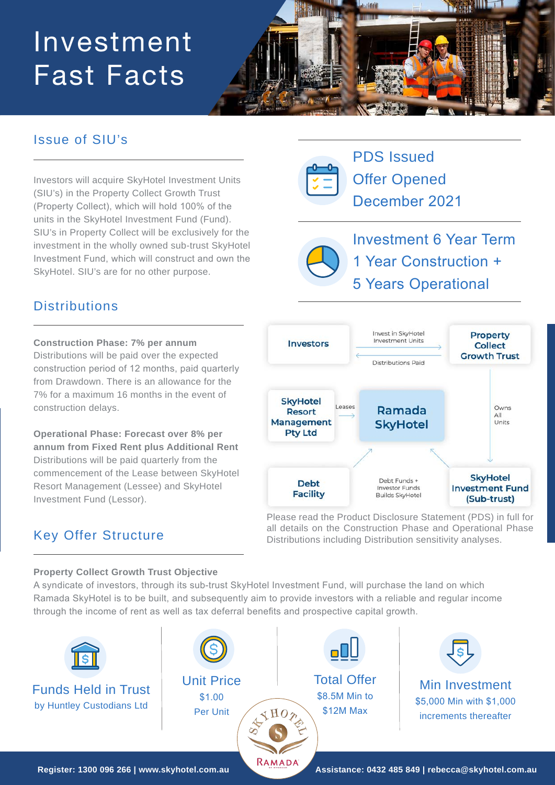# Investment Fast Facts



## Issue of SIU's

Investors will acquire SkyHotel Investment Units (SIU's) in the Property Collect Growth Trust (Property Collect), which will hold 100% of the units in the SkyHotel Investment Fund (Fund). SIU's in Property Collect will be exclusively for the investment in the wholly owned sub-trust SkyHotel Investment Fund, which will construct and own the SkyHotel. SIU's are for no other purpose.

PDS Issued Offer Opened December 2021

Investment 6 Year Term 1 Year Construction + 5 Years Operational

## **Distributions**

**Construction Phase: 7% per annum**  Distributions will be paid over the expected construction period of 12 months, paid quarterly from Drawdown. There is an allowance for the 7% for a maximum 16 months in the event of construction delays.

**Operational Phase: Forecast over 8% per annum from Fixed Rent plus Additional Rent**  Distributions will be paid quarterly from the commencement of the Lease between SkyHotel Resort Management (Lessee) and SkyHotel Investment Fund (Lessor).



Please read the Product Disclosure Statement (PDS) in full for all details on the Construction Phase and Operational Phase Distributions including Distribution sensitivity analyses.

## Key Offer Structure

#### **Property Collect Growth Trust Objective**

A syndicate of investors, through its sub-trust SkyHotel Investment Fund, will purchase the land on which Ramada SkyHotel is to be built, and subsequently aim to provide investors with a reliable and regular income through the income of rent as well as tax deferral benefits and prospective capital growth.

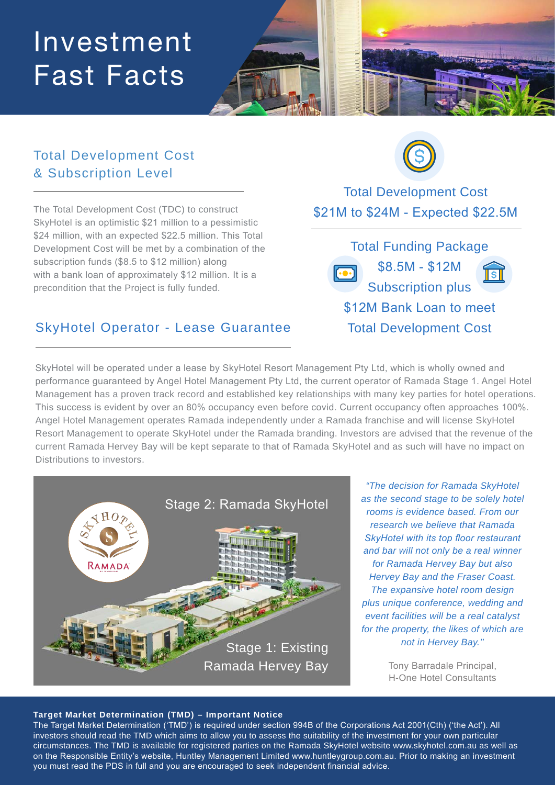## Investment Fast Facts



## Total Development Cost & Subscription Level

The Total Development Cost (TDC) to construct SkyHotel is an optimistic \$21 million to a pessimistic \$24 million, with an expected \$22.5 million. This Total Development Cost will be met by a combination of the subscription funds (\$8.5 to \$12 million) along with a bank loan of approximately \$12 million. It is a precondition that the Project is fully funded.



Total Development Cost \$21M to \$24M - Expected \$22.5M

Total Funding Package \$8.5M - \$12M Subscription plus \$12M Bank Loan to meet Total Development Cost

## SkyHotel Operator - Lease Guarantee

SkyHotel will be operated under a lease by SkyHotel Resort Management Pty Ltd, which is wholly owned and performance guaranteed by Angel Hotel Management Pty Ltd, the current operator of Ramada Stage 1. Angel Hotel Management has a proven track record and established key relationships with many key parties for hotel operations. This success is evident by over an 80% occupancy even before covid. Current occupancy often approaches 100%. Angel Hotel Management operates Ramada independently under a Ramada franchise and will license SkyHotel Resort Management to operate SkyHotel under the Ramada branding. Investors are advised that the revenue of the current Ramada Hervey Bay will be kept separate to that of Ramada SkyHotel and as such will have no impact on Distributions to investors.



*"The decision for Ramada SkyHotel as the second stage to be solely hotel rooms is evidence based. From our research we believe that Ramada SkyHotel with its top floor restaurant and bar will not only be a real winner for Ramada Hervey Bay but also Hervey Bay and the Fraser Coast. The expansive hotel room design plus unique conference, wedding and event facilities will be a real catalyst for the property, the likes of which are not in Hervey Bay.''*

> Tony Barradale Principal, H-One Hotel Consultants

#### **Target Market Determination (TMD) – Important Notice**

The Target Market Determination ('TMD') is required under section 994B of the Corporations Act 2001(Cth) ('the Act'). All investors should read the TMD which aims to allow you to assess the suitability of the investment for your own particular circumstances. The TMD is available for registered parties on the Ramada SkyHotel website www.skyhotel.com.au as well as on the Responsible Entity's website, Huntley Management Limited www.huntleygroup.com.au. Prior to making an investment you must read the PDS in full and you are encouraged to seek independent financial advice.